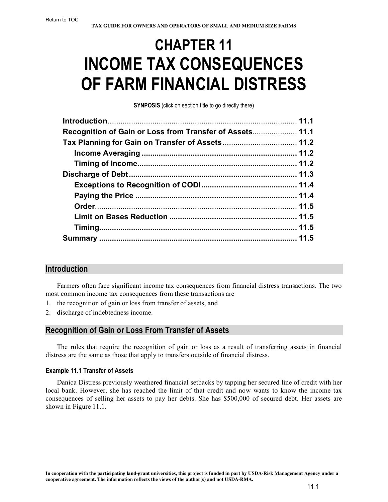# **CHAPTER 11 INCOME TAX CONSEQUENCES OF FARM FINANCIAL DISTRESS**

**SYNPOSIS** (click on section title to go directly there)

| Recognition of Gain or Loss from Transfer of Assets 11.1 |  |
|----------------------------------------------------------|--|
|                                                          |  |
|                                                          |  |
|                                                          |  |
|                                                          |  |
|                                                          |  |
|                                                          |  |
|                                                          |  |
|                                                          |  |
|                                                          |  |
|                                                          |  |

## **Introduction**

Farmers often face significant income tax consequences from financial distress transactions. The two most common income tax consequences from these transactions are

- 1. the recognition of gain or loss from transfer of assets, and
- 2. discharge of indebtedness income.

## **Recognition of Gain or Loss From Transfer of Assets**

The rules that require the recognition of gain or loss as a result of transferring assets in financial distress are the same as those that apply to transfers outside of financial distress.

### **Example 11.1 Transfer of Assets**

Danica Distress previously weathered financial setbacks by tapping her secured line of credit with her local bank. However, she has reached the limit of that credit and now wants to know the income tax consequences of selling her assets to pay her debts. She has \$500,000 of secured debt. Her assets are shown in Figure 11.1.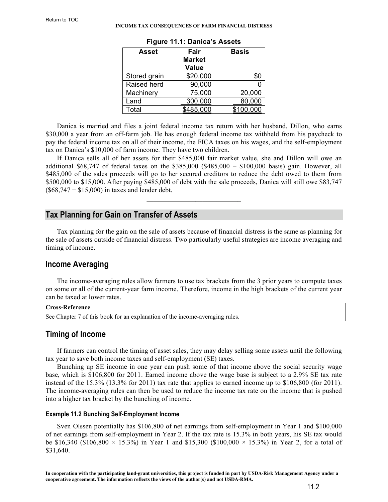<span id="page-1-0"></span>

| Asset        | Fair<br><b>Market</b><br>Value | Basis     |
|--------------|--------------------------------|-----------|
| Stored grain | \$20,000                       | \$C       |
| Raised herd  | 90,000                         |           |
| Machinery    | 75,000                         | 20,000    |
| Land         | 300,000                        | 80,000    |
| Total        | \$485,000                      | \$100,000 |

| Figure 11.1: Danica's Assets |  |  |  |
|------------------------------|--|--|--|
|                              |  |  |  |

Danica is married and files a joint federal income tax return with her husband, Dillon, who earns \$30,000 a year from an off-farm job. He has enough federal income tax withheld from his paycheck to pay the federal income tax on all of their income, the FICA taxes on his wages, and the self-employment tax on Danica's \$10,000 of farm income. They have two children.

If Danica sells all of her assets for their \$485,000 fair market value, she and Dillon will owe an additional \$68,747 of federal taxes on the \$385,000 (\$485,000 – \$100,000 basis) gain. However, all \$485,000 of the sales proceeds will go to her secured creditors to reduce the debt owed to them from \$500,000 to \$15,000. After paying \$485,000 of debt with the sale proceeds, Danica will still owe \$83,747  $($68,747 + $15,000)$  in taxes and lender debt.

 $\mathcal{L}_\text{max}$  and  $\mathcal{L}_\text{max}$  and  $\mathcal{L}_\text{max}$  and  $\mathcal{L}_\text{max}$ 

## **Tax Planning for Gain on Transfer of Assets**

Tax planning for the gain on the sale of assets because of financial distress is the same as planning for the sale of assets outside of financial distress. Two particularly useful strategies are income averaging and timing of income.

## **Income Averaging**

The income-averaging rules allow farmers to use tax brackets from the 3 prior years to compute taxes on some or all of the current-year farm income. Therefore, income in the high brackets of the current year can be taxed at lower rates.

```
Cross-Reference
See Chapter 7 of this book for an explanation of the income-averaging rules.
```
## **Timing of Income**

If farmers can control the timing of asset sales, they may delay selling some assets until the following tax year to save both income taxes and self-employment (SE) taxes.

Bunching up SE income in one year can push some of that income above the social security wage base, which is \$106,800 for 2011. Earned income above the wage base is subject to a 2.9% SE tax rate instead of the 15.3% (13.3% for 2011) tax rate that applies to earned income up to \$106,800 (for 2011). The income-averaging rules can then be used to reduce the income tax rate on the income that is pushed into a higher tax bracket by the bunching of income.

### **Example 11.2 Bunching Self-Employment Income**

Sven Olssen potentially has \$106,800 of net earnings from self-employment in Year 1 and \$100,000 of net earnings from self-employment in Year 2. If the tax rate is 15.3% in both years, his SE tax would be \$16,340 (\$106,800  $\times$  15.3%) in Year 1 and \$15,300 (\$100,000  $\times$  15.3%) in Year 2, for a total of \$31,640.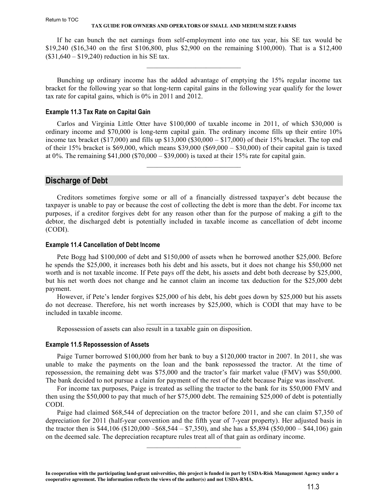#### **TAX GUIDE FOR OWNERS AND OPERATORS OF SMALL AND MEDIUM SIZE FARMS**

<span id="page-2-0"></span>If he can bunch the net earnings from self-employment into one tax year, his SE tax would be \$19,240 (\$16,340 on the first \$106,800, plus \$2,900 on the remaining \$100,000). That is a \$12,400 (\$31,640 – \$19,240) reduction in his SE tax.

 $\mathcal{L}_\text{max}$  and  $\mathcal{L}_\text{max}$  and  $\mathcal{L}_\text{max}$  and  $\mathcal{L}_\text{max}$ 

Bunching up ordinary income has the added advantage of emptying the 15% regular income tax bracket for the following year so that long-term capital gains in the following year qualify for the lower tax rate for capital gains, which is 0% in 2011 and 2012.

#### **Example 11.3 Tax Rate on Capital Gain**

Carlos and Virginia Little Otter have \$100,000 of taxable income in 2011, of which \$30,000 is ordinary income and \$70,000 is long-term capital gain. The ordinary income fills up their entire 10% income tax bracket (\$17,000) and fills up \$13,000 (\$30,000 – \$17,000) of their 15% bracket. The top end of their 15% bracket is \$69,000, which means \$39,000 (\$69,000 – \$30,000) of their capital gain is taxed at 0%. The remaining  $$41,000$  ( $$70,000 - $39,000$ ) is taxed at their 15% rate for capital gain.

 $\mathcal{L}_\text{max}$  and  $\mathcal{L}_\text{max}$  and  $\mathcal{L}_\text{max}$  and  $\mathcal{L}_\text{max}$ 

## **Discharge of Debt**

Creditors sometimes forgive some or all of a financially distressed taxpayer's debt because the taxpayer is unable to pay or because the cost of collecting the debt is more than the debt. For income tax purposes, if a creditor forgives debt for any reason other than for the purpose of making a gift to the debtor, the discharged debt is potentially included in taxable income as cancellation of debt income (CODI).

#### **Example 11.4 Cancellation of Debt Income**

Pete Bogg had \$100,000 of debt and \$150,000 of assets when he borrowed another \$25,000. Before he spends the \$25,000, it increases both his debt and his assets, but it does not change his \$50,000 net worth and is not taxable income. If Pete pays off the debt, his assets and debt both decrease by \$25,000, but his net worth does not change and he cannot claim an income tax deduction for the \$25,000 debt payment.

However, if Pete's lender forgives \$25,000 of his debt, his debt goes down by \$25,000 but his assets do not decrease. Therefore, his net worth increases by \$25,000, which is CODI that may have to be included in taxable income.

 $\mathcal{L}_\text{max}$  and  $\mathcal{L}_\text{max}$  and  $\mathcal{L}_\text{max}$  and  $\mathcal{L}_\text{max}$ 

Repossession of assets can also result in a taxable gain on disposition.

#### **Example 11.5 Repossession of Assets**

Paige Turner borrowed \$100,000 from her bank to buy a \$120,000 tractor in 2007. In 2011, she was unable to make the payments on the loan and the bank repossessed the tractor. At the time of repossession, the remaining debt was \$75,000 and the tractor's fair market value (FMV) was \$50,000. The bank decided to not pursue a claim for payment of the rest of the debt because Paige was insolvent.

For income tax purposes, Paige is treated as selling the tractor to the bank for its \$50,000 FMV and then using the \$50,000 to pay that much of her \$75,000 debt. The remaining \$25,000 of debt is potentially CODI.

Paige had claimed \$68,544 of depreciation on the tractor before 2011, and she can claim \$7,350 of depreciation for 2011 (half-year convention and the fifth year of 7-year property). Her adjusted basis in the tractor then is \$44,106 (\$120,000 –\$68,544 – \$7,350), and she has a \$5,894 (\$50,000 – \$44,106) gain on the deemed sale. The depreciation recapture rules treat all of that gain as ordinary income.

 $\mathcal{L}_\text{max}$  and  $\mathcal{L}_\text{max}$  and  $\mathcal{L}_\text{max}$  and  $\mathcal{L}_\text{max}$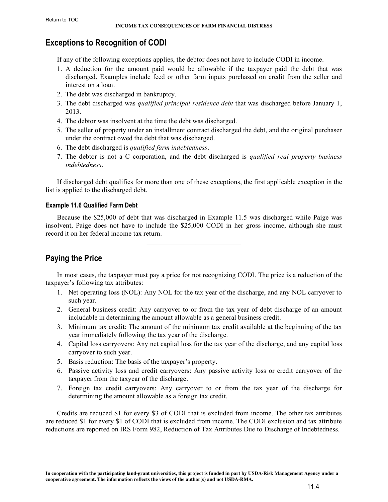## <span id="page-3-0"></span>**Exceptions to Recognition of CODI**

If any of the following exceptions applies, the debtor does not have to include CODI in income.

- 1. A deduction for the amount paid would be allowable if the taxpayer paid the debt that was discharged. Examples include feed or other farm inputs purchased on credit from the seller and interest on a loan.
- 2. The debt was discharged in bankruptcy.
- 3. The debt discharged was *qualified principal residence debt* that was discharged before January 1, 2013.
- 4. The debtor was insolvent at the time the debt was discharged.
- 5. The seller of property under an installment contract discharged the debt, and the original purchaser under the contract owed the debt that was discharged.
- 6. The debt discharged is *qualified farm indebtedness*.
- 7. The debtor is not a C corporation, and the debt discharged is *qualified real property business indebtedness*.

If discharged debt qualifies for more than one of these exceptions, the first applicable exception in the list is applied to the discharged debt.

### **Example 11.6 Qualified Farm Debt**

Because the \$25,000 of debt that was discharged in Example 11.5 was discharged while Paige was insolvent, Paige does not have to include the \$25,000 CODI in her gross income, although she must record it on her federal income tax return.

**Paying the Price**

In most cases, the taxpayer must pay a price for not recognizing CODI. The price is a reduction of the taxpayer's following tax attributes:

- 1. Net operating loss (NOL): Any NOL for the tax year of the discharge, and any NOL carryover to such year.
- 2. General business credit: Any carryover to or from the tax year of debt discharge of an amount includable in determining the amount allowable as a general business credit.
- 3. Minimum tax credit: The amount of the minimum tax credit available at the beginning of the tax year immediately following the tax year of the discharge.
- 4. Capital loss carryovers: Any net capital loss for the tax year of the discharge, and any capital loss carryover to such year.
- 5. Basis reduction: The basis of the taxpayer's property.
- 6. Passive activity loss and credit carryovers: Any passive activity loss or credit carryover of the taxpayer from the taxyear of the discharge.
- 7. Foreign tax credit carryovers: Any carryover to or from the tax year of the discharge for determining the amount allowable as a foreign tax credit.

Credits are reduced \$1 for every \$3 of CODI that is excluded from income. The other tax attributes are reduced \$1 for every \$1 of CODI that is excluded from income. The CODI exclusion and tax attribute reductions are reported on IRS Form 982, Reduction of Tax Attributes Due to Discharge of Indebtedness.